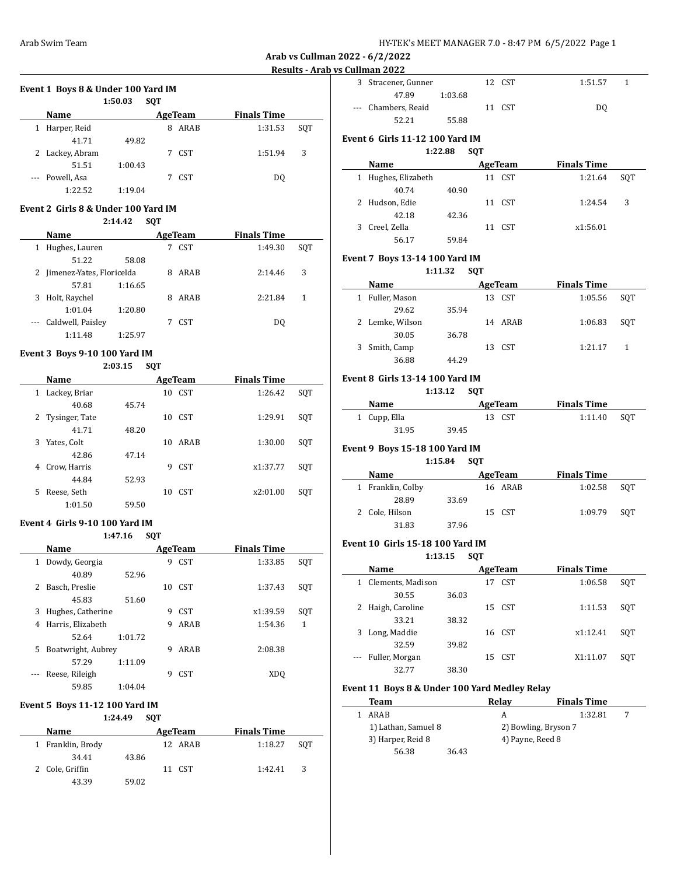### **Event 1 Boys 8 & Under 100 Yard IM**

|   |                 | 1:50.03 | <b>SOT</b> |                  |                    |     |
|---|-----------------|---------|------------|------------------|--------------------|-----|
|   | Name            |         |            | AgeTeam          | <b>Finals Time</b> |     |
| 1 | Harper, Reid    |         | 8          | ARAB             | 1:31.53            | SOT |
|   | 41.71           | 49.82   |            |                  |                    |     |
|   | 2 Lackey, Abram |         | 7          | CST <sup>.</sup> | 1:51.94            | 3   |
|   | 51.51           | 1:00.43 |            |                  |                    |     |
|   | --- Powell, Asa |         |            | CST              | DO.                |     |
|   | 1:22.52         | 1:19.04 |            |                  |                    |     |

#### **Event 2 Girls 8 & Under 100 Yard IM**

|          |                             | 2:14.42 | <b>SOT</b> |            |                    |     |
|----------|-----------------------------|---------|------------|------------|--------------------|-----|
|          | Name                        |         |            | AgeTeam    | <b>Finals Time</b> |     |
| 1        | Hughes, Lauren              |         |            | <b>CST</b> | 1:49.30            | SOT |
|          | 51.22                       | 58.08   |            |            |                    |     |
|          | 2 Jimenez-Yates, Floricelda |         | 8          | ARAB       | 2:14.46            | 3   |
|          | 57.81                       | 1:16.65 |            |            |                    |     |
| 3        | Holt, Raychel               |         | 8          | ARAB       | 2:21.84            | 1   |
|          | 1:01.04                     | 1:20.80 |            |            |                    |     |
| $\cdots$ | Caldwell, Paisley           |         |            | <b>CST</b> | DO                 |     |
|          | 1:11.48                     | 1:25.97 |            |            |                    |     |

#### **Event 3 Boys 9-10 100 Yard IM**

#### **2:03.15 SQT**

| Name               |       | AgeTeam                | <b>Finals Time</b> |     |
|--------------------|-------|------------------------|--------------------|-----|
| Lackey, Briar<br>1 |       | CST<br>10              | 1:26.42            | SQT |
| 40.68              | 45.74 |                        |                    |     |
| 2 Tysinger, Tate   |       | CST.<br>10             | 1:29.91            | SQT |
| 41.71              | 48.20 |                        |                    |     |
| Yates, Colt<br>3   |       | ARAB<br>10             | 1:30.00            | SQT |
| 42.86              | 47.14 |                        |                    |     |
| Crow, Harris<br>4  |       | <b>CST</b><br>9        | x1:37.77           | SOT |
| 44.84              | 52.93 |                        |                    |     |
| Reese, Seth<br>5   |       | CST <sup>.</sup><br>10 | x2:01.00           | SQT |
| 1:01.50            | 59.50 |                        |                    |     |

#### **Event 4 Girls 9-10 100 Yard IM**

**1:47.16 SQT**

|   | Name               |         |    | AgeTeam    | <b>Finals Time</b> |     |
|---|--------------------|---------|----|------------|--------------------|-----|
| 1 | Dowdy, Georgia     |         | 9  | <b>CST</b> | 1:33.85            | SQT |
|   | 40.89              | 52.96   |    |            |                    |     |
| 2 | Basch, Preslie     |         | 10 | <b>CST</b> | 1:37.43            | SOT |
|   | 45.83              | 51.60   |    |            |                    |     |
| 3 | Hughes, Catherine  |         | 9  | <b>CST</b> | x1:39.59           | SQT |
| 4 | Harris, Elizabeth  |         | 9  | ARAB       | 1:54.36            | 1   |
|   | 52.64              | 1:01.72 |    |            |                    |     |
| 5 | Boatwright, Aubrey |         | 9  | ARAB       | 2:08.38            |     |
|   | 57.29              | 1:11.09 |    |            |                    |     |
|   | Reese, Rileigh     |         | 9  | <b>CST</b> | XDO                |     |
|   | 59.85              | 1:04.04 |    |            |                    |     |

#### **Event 5 Boys 11-12 100 Yard IM**

**1:24.49 SQT**

| Name              |       | AgeTeam | <b>Finals Time</b> |
|-------------------|-------|---------|--------------------|
| 1 Franklin, Brody |       | 12 ARAB | 1:18.27<br>SOT     |
| 34.41             | 43.86 |         |                    |
| 2 Cole, Griffin   |       | 11 CST  | 3<br>1:42.41       |
| 43.39             | 59.02 |         |                    |

| 991111911 = V = P   |         |        |         |  |
|---------------------|---------|--------|---------|--|
| 3 Stracener, Gunner |         | 12 CST | 1:51.57 |  |
| 47.89               | 1:03.68 |        |         |  |
| --- Chambers, Reaid |         | 11 CST | D0      |  |
|                     | 55.88   |        |         |  |

# **Event 6 Girls 11-12 100 Yard IM**

# **1:22.88 SQT**

| Name |                     |       | <b>Finals Time</b><br>AgeTeam |        |          |     |  |
|------|---------------------|-------|-------------------------------|--------|----------|-----|--|
|      | 1 Hughes, Elizabeth |       | 11                            | CST    | 1:21.64  | SOT |  |
|      | 40.74               | 40.90 |                               |        |          |     |  |
|      | 2 Hudson, Edie      |       |                               | 11 CST | 1:24.54  | 3   |  |
|      | 42.18               | 42.36 |                               |        |          |     |  |
|      | 3 Creel, Zella      |       |                               | 11 CST | x1:56.01 |     |  |
|      | 56.17               | 59.84 |                               |        |          |     |  |

#### **Event 7 Boys 13-14 100 Yard IM**

#### **1:11.32 SQT**

| Name            | AgeTeam |         | <b>Finals Time</b> |     |
|-----------------|---------|---------|--------------------|-----|
| 1 Fuller, Mason |         | 13 CST  | 1:05.56            | SOT |
| 29.62           | 35.94   |         |                    |     |
| 2 Lemke, Wilson |         | 14 ARAB | 1:06.83            | SOT |
| 30.05           | 36.78   |         |                    |     |
| 3 Smith, Camp   | 13.     | CST.    | 1:21.17            |     |
| 36.88           | 44.29   |         |                    |     |

### **Event 8 Girls 13-14 100 Yard IM**

**1:13.12 SQT**

| <b>Name</b>  | AgeTeam | <b>Finals Time</b> |     |
|--------------|---------|--------------------|-----|
| 1 Cupp, Ella | 13 CST  | 1:11.40            | SOT |
| 31.95        | 39.45   |                    |     |

#### **Event 9 Boys 15-18 100 Yard IM**

**1:15.84 SQT**

| Name              |       | AgeTeam | <b>Finals Time</b> |     |
|-------------------|-------|---------|--------------------|-----|
| 1 Franklin, Colby |       | 16 ARAB | 1:02.58            | SOT |
| 28.89             | 33.69 |         |                    |     |
| 2 Cole, Hilson    |       | 15 CST  | 1:09.79            | SOT |
| 31.83             | 37.96 |         |                    |     |

#### **Event 10 Girls 15-18 100 Yard IM**

**1:13.15 SQT**

|              | Name               |       |     | AgeTeam    | <b>Finals Time</b> |     |
|--------------|--------------------|-------|-----|------------|--------------------|-----|
| $\mathbf{1}$ | Clements, Madison  |       |     | <b>CST</b> | 1:06.58            | SOT |
|              | 30.55              | 36.03 |     |            |                    |     |
|              | 2 Haigh, Caroline  |       |     | 15 CST     | 1:11.53            | SOT |
|              | 33.21              | 38.32 |     |            |                    |     |
| 3            | Long, Maddie       |       |     | 16 CST     | x1:12.41           | SOT |
|              | 32.59              | 39.82 |     |            |                    |     |
|              | --- Fuller, Morgan |       | 15. | CST.       | X1:11.07           | SOT |
|              | 32.77              | 38.30 |     |            |                    |     |

#### **Event 11 Boys 8 & Under 100 Yard Medley Relay**

| Team                |       | Relav            | <b>Finals Time</b>   |  |
|---------------------|-------|------------------|----------------------|--|
| ARAR                |       |                  | 1:32.81              |  |
| 1) Lathan, Samuel 8 |       |                  | 2) Bowling, Bryson 7 |  |
| 3) Harper, Reid 8   |       | 4) Payne, Reed 8 |                      |  |
| 56.38               | 36.43 |                  |                      |  |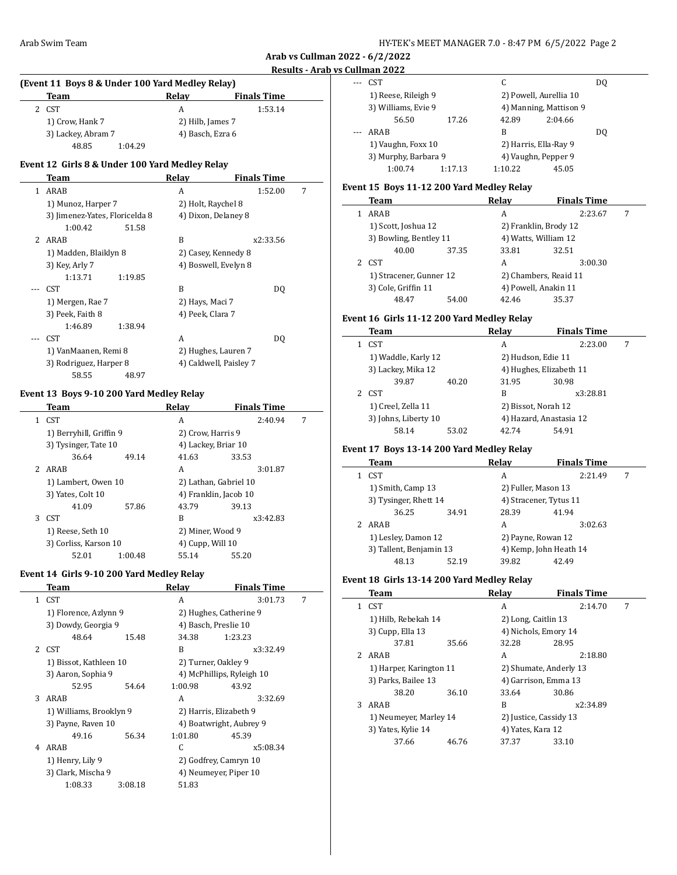$\overline{\phantom{a}}$ 

|                | (Event 11 Boys 8 & Under 100 Yard Medley Relay) |                      |                    |   |
|----------------|-------------------------------------------------|----------------------|--------------------|---|
|                | Team                                            | Relay                | <b>Finals Time</b> |   |
|                | 2 CST                                           | A                    | 1:53.14            |   |
|                | 1) Crow, Hank 7                                 | 2) Hilb, James 7     |                    |   |
|                | 3) Lackey, Abram 7                              | 4) Basch, Ezra 6     |                    |   |
|                | 48.85<br>1:04.29                                |                      |                    |   |
|                | Event 12 Girls 8 & Under 100 Yard Medley Relay  |                      |                    |   |
|                | Team                                            | Relay                | <b>Finals Time</b> |   |
| $\mathbf{1}$   | ARAB                                            | A                    | 1:52.00            | 7 |
|                | 1) Munoz, Harper 7                              | 2) Holt, Raychel 8   |                    |   |
|                | 3) Jimenez-Yates, Floricelda 8                  | 4) Dixon, Delaney 8  |                    |   |
|                | 1:00.42<br>51.58                                |                      |                    |   |
| $\overline{2}$ | ARAB                                            | B                    | x2:33.56           |   |
|                | 1) Madden, Blaiklyn 8                           | 2) Casey, Kennedy 8  |                    |   |
|                | 3) Key, Arly 7                                  | 4) Boswell, Evelyn 8 |                    |   |
|                | 1:13.71<br>1:19.85                              |                      |                    |   |
|                | <b>CST</b>                                      | B                    | DO.                |   |
|                | 1) Mergen, Rae 7                                | 2) Hays, Maci 7      |                    |   |
|                | 3) Peek, Faith 8                                | 4) Peek, Clara 7     |                    |   |
|                | 1:46.89<br>1:38.94                              |                      |                    |   |
|                | <b>CST</b>                                      | A                    | DQ                 |   |
|                | 1) VanMaanen, Remi 8                            | 2) Hughes, Lauren 7  |                    |   |

3) Rodriguez, Harper 8 4) Caldwell, Paisley 7 58.55 48.97

#### **Event 13 Boys 9-10 200 Yard Medley Relay**

|              | Team                    |         | Relav               | <b>Finals Time</b>    |   |
|--------------|-------------------------|---------|---------------------|-----------------------|---|
| $\mathbf{1}$ | <b>CST</b>              |         | A                   | 2:40.94               | 7 |
|              | 1) Berryhill, Griffin 9 |         | 2) Crow, Harris 9   |                       |   |
|              | 3) Tysinger, Tate 10    |         | 4) Lackey, Briar 10 |                       |   |
|              | 36.64                   | 49.14   | 41.63               | 33.53                 |   |
|              | 2 ARAB                  |         | A                   | 3:01.87               |   |
|              | 1) Lambert, Owen 10     |         |                     | 2) Lathan, Gabriel 10 |   |
|              | 3) Yates, Colt 10       |         |                     | 4) Franklin, Jacob 10 |   |
|              | 41.09                   | 57.86   | 43.79               | 39.13                 |   |
|              | 3 CST                   |         | B                   | x3:42.83              |   |
|              | 1) Reese, Seth 10       |         | 2) Miner, Wood 9    |                       |   |
|              | 3) Corliss, Karson 10   |         | 4) Cupp, Will 10    |                       |   |
|              | 52.01                   | 1:00.48 | 55.14               | 55.20                 |   |

#### **Event 14 Girls 9-10 200 Yard Medley Relay**

|   | Team                    |         | Relay                   | <b>Finals Time</b>        |   |
|---|-------------------------|---------|-------------------------|---------------------------|---|
|   | 1 CST                   |         | A                       | 3:01.73                   | 7 |
|   | 1) Florence, Azlynn 9   |         |                         | 2) Hughes, Catherine 9    |   |
|   | 3) Dowdy, Georgia 9     |         |                         | 4) Basch, Preslie 10      |   |
|   | 48.64                   | 15.48   | 34.38                   | 1:23.23                   |   |
|   | 2 CST                   |         | B                       | x3:32.49                  |   |
|   | 1) Bissot, Kathleen 10  |         |                         | 2) Turner, Oakley 9       |   |
|   | 3) Aaron, Sophia 9      |         |                         | 4) McPhillips, Ryleigh 10 |   |
|   | 52.95                   | 54.64   | 1:00.98                 | 43.92                     |   |
| 3 | ARAB                    |         | A                       | 3:32.69                   |   |
|   | 1) Williams, Brooklyn 9 |         |                         | 2) Harris, Elizabeth 9    |   |
|   | 3) Payne, Raven 10      |         | 4) Boatwright, Aubrey 9 |                           |   |
|   | 49.16                   | 56.34   | 1:01.80                 | 45.39                     |   |
| 4 | ARAB                    |         | C                       | x5:08.34                  |   |
|   | 1) Henry, Lily 9        |         |                         | 2) Godfrey, Camryn 10     |   |
|   | 3) Clark, Mischa 9      |         |                         | 4) Neumeyer, Piper 10     |   |
|   | 1:08.33                 | 3:08.18 | 51.83                   |                           |   |
|   |                         |         |                         |                           |   |

|     | unnan 2022           |         |                     |                        |     |
|-----|----------------------|---------|---------------------|------------------------|-----|
| --- | CST <sup>.</sup>     |         | C                   |                        | DO. |
|     | 1) Reese, Rileigh 9  |         |                     | 2) Powell, Aurellia 10 |     |
|     | 3) Williams, Evie 9  |         |                     | 4) Manning, Mattison 9 |     |
|     | 56.50                | 17.26   | 42.89               | 2:04.66                |     |
| $-$ | ARAB                 |         | В                   |                        | DO. |
|     | 1) Vaughn, Foxx 10   |         |                     | 2) Harris, Ella-Ray 9  |     |
|     | 3) Murphy, Barbara 9 |         | 4) Vaughn, Pepper 9 |                        |     |
|     | 1:00.74              | 1:17.13 | 1:10.22             | 45.05                  |     |

# **Event 15 Boys 11-12 200 Yard Medley Relay**

| Team                    |       | Relav                 | <b>Finals Time</b>    |  |
|-------------------------|-------|-----------------------|-----------------------|--|
| ARAB                    |       | А                     | 2:23.67               |  |
| 1) Scott, Joshua 12     |       | 2) Franklin, Brody 12 |                       |  |
| 3) Bowling, Bentley 11  |       | 4) Watts, William 12  |                       |  |
| 40.00                   | 37.35 | 33.81                 | 32.51                 |  |
| <b>CST</b>              |       | A                     | 3:00.30               |  |
| 1) Stracener, Gunner 12 |       |                       | 2) Chambers, Reaid 11 |  |
| 3) Cole, Griffin 11     |       |                       | 4) Powell, Anakin 11  |  |
| 48.47                   | 54.00 | 42.46                 | 35.37                 |  |

# **Event 16 Girls 11-12 200 Yard Medley Relay**

| Team                 |       | Relay                   | <b>Finals Time</b> |   |
|----------------------|-------|-------------------------|--------------------|---|
| <b>CST</b>           |       | A                       | 2:23.00            | 7 |
| 1) Waddle, Karly 12  |       | 2) Hudson, Edie 11      |                    |   |
| 3) Lackey, Mika 12   |       | 4) Hughes, Elizabeth 11 |                    |   |
| 39.87                | 40.20 | 31.95                   | 30.98              |   |
| 2 CST                |       | B                       | x3:28.81           |   |
| 1) Creel, Zella 11   |       | 2) Bissot, Norah 12     |                    |   |
| 3) Johns, Liberty 10 |       | 4) Hazard, Anastasia 12 |                    |   |
| 58.14                | 53.02 | 42.74                   | 54.91              |   |

# **Event 17 Boys 13-14 200 Yard Medley Relay**

| Team              |       | Relav                                                                   | <b>Finals Time</b> |                                                                                               |
|-------------------|-------|-------------------------------------------------------------------------|--------------------|-----------------------------------------------------------------------------------------------|
| <b>CST</b>        |       | А                                                                       | 2:21.49            | 7                                                                                             |
| 1) Smith, Camp 13 |       |                                                                         |                    |                                                                                               |
|                   |       |                                                                         |                    |                                                                                               |
| 36.25             | 34.91 | 28.39                                                                   | 41.94              |                                                                                               |
| ARAB              |       | А                                                                       | 3:02.63            |                                                                                               |
|                   |       |                                                                         |                    |                                                                                               |
|                   |       |                                                                         |                    |                                                                                               |
| 48.13             | 52.19 | 39.82                                                                   | 42.49              |                                                                                               |
|                   |       | 3) Tysinger, Rhett 14<br>1) Lesley, Damon 12<br>3) Tallent, Benjamin 13 |                    | 2) Fuller, Mason 13<br>4) Stracener, Tytus 11<br>2) Payne, Rowan 12<br>4) Kemp, John Heath 14 |

# **Event 18 Girls 13-14 200 Yard Medley Relay**

| <b>Finals Time</b> |
|--------------------|
| 2:14.70<br>7       |
|                    |
|                    |
|                    |
| 2:18.80            |
|                    |
|                    |
|                    |
| x2:34.89           |
|                    |
|                    |
|                    |
|                    |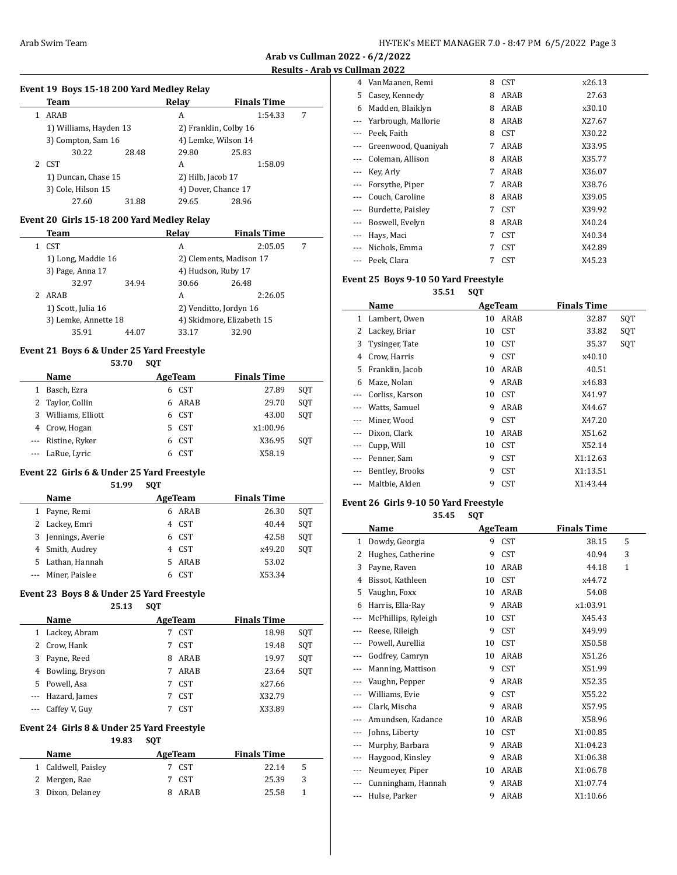$\overline{a}$ 

**Arab vs Cullman 2022 - 6/2/2022 Results - Arab vs Cullman 2022**

### **Event 19 Boys 15-18 200 Yard Medley Relay**

| Team                   |       | Relay               | <b>Finals Time</b>    |   |
|------------------------|-------|---------------------|-----------------------|---|
| ARAB                   |       | А                   | 1:54.33               | 7 |
| 1) Williams, Hayden 13 |       |                     | 2) Franklin, Colby 16 |   |
| 3) Compton, Sam 16     |       |                     | 4) Lemke, Wilson 14   |   |
| 30.22                  | 28.48 | 29.80               | 25.83                 |   |
| 2 CST                  |       | A                   | 1:58.09               |   |
| 1) Duncan, Chase 15    |       | 2) Hilb, Jacob 17   |                       |   |
| 3) Cole, Hilson 15     |       | 4) Dover, Chance 17 |                       |   |
| 27.60                  | 31.88 | 29.65               | 28.96                 |   |
|                        |       |                     |                       |   |

### **Event 20 Girls 15-18 200 Yard Medley Relay**

|               | Team                 |       | Relav                     | <b>Finals Time</b>      |   |
|---------------|----------------------|-------|---------------------------|-------------------------|---|
|               | <b>CST</b>           |       | A                         | 2:05.05                 | 7 |
|               | 1) Long, Maddie 16   |       |                           | 2) Clements, Madison 17 |   |
|               | 3) Page, Anna 17     |       |                           | 4) Hudson, Ruby 17      |   |
|               | 32.97                | 34.94 | 30.66                     | 26.48                   |   |
| $\mathcal{P}$ | ARAB                 |       | A                         | 2:26.05                 |   |
|               | 1) Scott, Julia 16   |       |                           | 2) Venditto, Jordyn 16  |   |
|               | 3) Lemke, Annette 18 |       | 4) Skidmore, Elizabeth 15 |                         |   |
|               | 35.91                | 44.07 | 33.17                     | 32.90                   |   |

# **Event 21 Boys 6 & Under 25 Yard Freestyle**

**53.70 SQT**

|   | Name                | AgeTeam |            | <b>Finals Time</b> |     |
|---|---------------------|---------|------------|--------------------|-----|
| 1 | Basch, Ezra         | 6       | CST        | 27.89              | SOT |
|   | 2 Taylor, Collin    | 6.      | ARAB       | 29.70              | SOT |
|   | 3 Williams, Elliott |         | 6 CST      | 43.00              | SOT |
|   | 4 Crow, Hogan       | 5.      | CST        | x1:00.96           |     |
|   | --- Ristine, Ryker  |         | 6 CST      | X36.95             | SOT |
|   | --- LaRue, Lyric    |         | <b>CST</b> | X58.19             |     |

# **Event 22 Girls 6 & Under 25 Yard Freestyle**

| 51.99 | SQT |
|-------|-----|
|       |     |

| Name               | AgeTeam |            | <b>Finals Time</b> |     |
|--------------------|---------|------------|--------------------|-----|
| 1 Payne, Remi      | 6       | ARAB       | 26.30              | SOT |
| 2 Lackey, Emri     |         | 4 CST      | 40.44              | SOT |
| 3 Jennings, Averie |         | 6 CST      | 42.58              | SOT |
| 4 Smith, Audrey    |         | 4 CST      | x49.20             | SOT |
| 5 Lathan, Hannah   |         | ARAB       | 53.02              |     |
| --- Miner, Paislee |         | <b>CST</b> | X53.34             |     |

#### **Event 23 Boys 8 & Under 25 Yard Freestyle**

**25.13 SQT**

|   | Name              | AgeTeam |            | <b>Finals Time</b> |     |
|---|-------------------|---------|------------|--------------------|-----|
| 1 | Lackey, Abram     |         | <b>CST</b> | 18.98              | SOT |
|   | 2 Crow, Hank      | 7       | CST        | 19.48              | SOT |
| 3 | Payne, Reed       | 8       | ARAB       | 19.97              | SOT |
| 4 | Bowling, Bryson   |         | ARAB       | 23.64              | SOT |
|   | 5 Powell, Asa     | 7       | CST        | x27.66             |     |
|   | --- Hazard, James |         | <b>CST</b> | X32.79             |     |
|   | Caffey V, Guy     |         | <b>CST</b> | X33.89             |     |

#### **Event 24 Girls 8 & Under 25 Yard Freestyle 19.83 SQT**

| .       |  |                        |     |  |
|---------|--|------------------------|-----|--|
| AgeTeam |  | <b>Finals Time</b>     |     |  |
|         |  | 22.14                  | 5   |  |
|         |  | 25.39                  | 3   |  |
|         |  | 25.58                  |     |  |
|         |  | 7 CST<br>7 CST<br>ARAR | . . |  |

| 4     | VanMaanen, Remi     | 8 | <b>CST</b> | x26.13 |
|-------|---------------------|---|------------|--------|
| 5     | Casey, Kennedy      | 8 | ARAB       | 27.63  |
| 6     | Madden, Blaiklyn    | 8 | ARAB       | x30.10 |
|       | Yarbrough, Mallorie | 8 | ARAB       | X27.67 |
|       | Peek, Faith         | 8 | <b>CST</b> | X30.22 |
|       | Greenwood, Quaniyah | 7 | ARAB       | X33.95 |
|       | Coleman, Allison    | 8 | ARAB       | X35.77 |
|       | Key, Arly           | 7 | ARAB       | X36.07 |
|       | Forsythe, Piper     | 7 | ARAB       | X38.76 |
|       | Couch, Caroline     | 8 | ARAB       | X39.05 |
|       | Burdette, Paisley   | 7 | <b>CST</b> | X39.92 |
|       | Boswell, Evelyn     | 8 | ARAB       | X40.24 |
| ---   | Hays, Maci          | 7 | <b>CST</b> | X40.34 |
| $---$ | Nichols, Emma       | 7 | <b>CST</b> | X42.89 |
|       | Peek, Clara         | 7 | <b>CST</b> | X45.23 |

# **Event 25 Boys 9-10 50 Yard Freestyle**

**35.51 SQT**

|         | Name            |    | AgeTeam          | <b>Finals Time</b> |     |
|---------|-----------------|----|------------------|--------------------|-----|
| 1       | Lambert, Owen   | 10 | ARAB             | 32.87              | SQT |
| 2       | Lackey, Briar   | 10 | <b>CST</b>       | 33.82              | SOT |
| 3       | Tysinger, Tate  | 10 | CST <sup>.</sup> | 35.37              | SQT |
| 4       | Crow, Harris    | 9  | <b>CST</b>       | x40.10             |     |
| 5       | Franklin, Jacob | 10 | ARAB             | 40.51              |     |
| 6       | Maze, Nolan     | 9  | ARAB             | x46.83             |     |
| $- - -$ | Corliss, Karson | 10 | CST <sup>.</sup> | X41.97             |     |
|         | Watts, Samuel   | 9  | ARAB             | X44.67             |     |
|         | Miner, Wood     | 9  | <b>CST</b>       | X47.20             |     |
|         | Dixon, Clark    | 10 | ARAB             | X51.62             |     |
|         | Cupp, Will      | 10 | <b>CST</b>       | X52.14             |     |
|         | Penner, Sam     | 9  | <b>CST</b>       | X1:12.63           |     |
| $---$   | Bentley, Brooks | 9  | <b>CST</b>       | X1:13.51           |     |
|         | Maltbie, Alden  | 9  | <b>CST</b>       | X1:43.44           |     |
|         |                 |    |                  |                    |     |

# **Event 26 Girls 9-10 50 Yard Freestyle**

**35.45 SQT**

|          | Name                |    | <b>AgeTeam</b> | <b>Finals Time</b> |   |
|----------|---------------------|----|----------------|--------------------|---|
| 1        | Dowdy, Georgia      | 9  | <b>CST</b>     | 38.15              | 5 |
| 2        | Hughes, Catherine   | 9  | <b>CST</b>     | 40.94              | 3 |
| 3        | Payne, Raven        | 10 | ARAB           | 44.18              | 1 |
| 4        | Bissot, Kathleen    | 10 | <b>CST</b>     | x44.72             |   |
| 5        | Vaughn, Foxx        | 10 | ARAB           | 54.08              |   |
| 6        | Harris, Ella-Ray    | 9  | ARAB           | x1:03.91           |   |
| ---      | McPhillips, Ryleigh | 10 | <b>CST</b>     | X45.43             |   |
| ---      | Reese, Rileigh      | 9  | <b>CST</b>     | X49.99             |   |
|          | Powell, Aurellia    | 10 | <b>CST</b>     | X50.58             |   |
| ---      | Godfrey, Camryn     | 10 | ARAB           | X51.26             |   |
|          | Manning, Mattison   | 9  | <b>CST</b>     | X51.99             |   |
| $---$    | Vaughn, Pepper      | 9  | ARAB           | X52.35             |   |
|          | Williams, Evie      | 9  | <b>CST</b>     | X55.22             |   |
| $---$    | Clark, Mischa       | 9  | ARAB           | X57.95             |   |
|          | Amundsen, Kadance   | 10 | ARAB           | X58.96             |   |
| ---      | Johns, Liberty      | 10 | <b>CST</b>     | X1:00.85           |   |
|          | Murphy, Barbara     | 9  | ARAB           | X1:04.23           |   |
| $\cdots$ | Haygood, Kinsley    | 9  | ARAB           | X1:06.38           |   |
|          | Neumeyer, Piper     | 10 | ARAB           | X1:06.78           |   |
| ---      | Cunningham, Hannah  | 9  | ARAB           | X1:07.74           |   |
|          | Hulse, Parker       | 9  | <b>ARAB</b>    | X1:10.66           |   |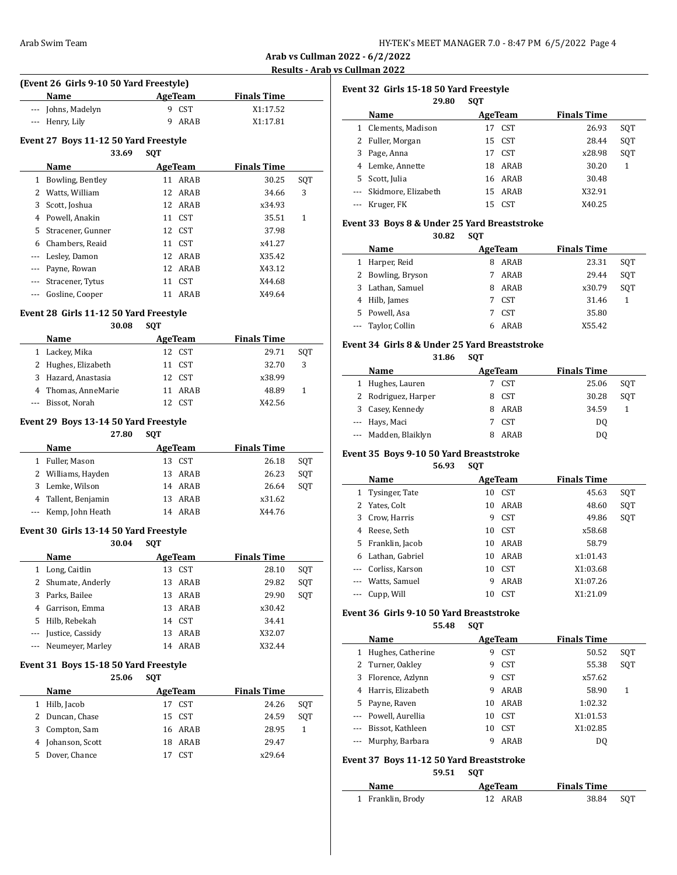| HY-TEK's MEET MANAGER 7.0 - 8:47 PM 6/5/2022 Page 4 |  |  |  |  |  |
|-----------------------------------------------------|--|--|--|--|--|
|-----------------------------------------------------|--|--|--|--|--|

 $\overline{a}$ 

 $\overline{a}$ 

| (Event 26 Girls 9-10 50 Yard Freestyle) |         |                    |  |  |  |
|-----------------------------------------|---------|--------------------|--|--|--|
| <b>Name</b>                             | AgeTeam | <b>Finals Time</b> |  |  |  |
| --- Johns, Madelyn                      | 9 CST   | X1:17.52           |  |  |  |
| --- Henry, Lily                         | ARAR    | X1:17.81           |  |  |  |

### **Event 27 Boys 11-12 50 Yard Freestyle**

|     | 33.69             | <b>SOT</b> |            |                    |     |
|-----|-------------------|------------|------------|--------------------|-----|
|     | Name              |            | AgeTeam    | <b>Finals Time</b> |     |
| 1   | Bowling, Bentley  | 11         | ARAB       | 30.25              | SQT |
| 2   | Watts, William    |            | 12 ARAB    | 34.66              | 3   |
| 3   | Scott, Joshua     |            | 12 ARAB    | x34.93             |     |
| 4   | Powell, Anakin    |            | 11 CST     | 35.51              | 1   |
| 5   | Stracener, Gunner |            | 12 CST     | 37.98              |     |
| 6   | Chambers, Reaid   |            | 11 CST     | x41.27             |     |
| --- | Lesley, Damon     |            | 12 ARAB    | X35.42             |     |
|     | --- Payne, Rowan  |            | 12 ARAB    | X43.12             |     |
|     | Stracener, Tytus  | 11         | <b>CST</b> | X44.68             |     |
|     | Gosline, Cooper   | 11         | ARAB       | X49.64             |     |

#### **Event 28 Girls 11-12 50 Yard Freestyle**

# **30.08 SQT Name Age Team Finals Time** 1 Lackey, Mika 12 CST 29.71 SQT 2 Hughes, Elizabeth 11 CST 32.70 3 3 Hazard, Anastasia 12 CST x38.99 4 Thomas, AnneMarie 11 ARAB 48.89 1 --- Bissot, Norah 12 CST X42.56

#### **Event 29 Boys 13-14 50 Yard Freestyle**

**27.80 SQT**

|   | <b>Name</b>          | AgeTeam | <b>Finals Time</b> |     |
|---|----------------------|---------|--------------------|-----|
|   | Fuller, Mason        | 13 CST  | 26.18              | SOT |
|   | 2 Williams, Hayden   | 13 ARAB | 26.23              | SOT |
| 3 | Lemke, Wilson        | 14 ARAB | 26.64              | SOT |
|   | 4 Tallent, Benjamin  | 13 ARAB | x31.62             |     |
|   | --- Kemp, John Heath | 14 ARAR | X44.76             |     |

#### **Event 30 Girls 13-14 50 Yard Freestyle 30.04 SQT**

|          | 30.04                | <b>SVI</b> |         |                    |     |
|----------|----------------------|------------|---------|--------------------|-----|
|          | Name                 |            | AgeTeam | <b>Finals Time</b> |     |
| 1        | Long, Caitlin        | 13         | CST     | 28.10              | SOT |
|          | 2 Shumate, Anderly   | 13         | ARAB    | 29.82              | SOT |
| 3        | Parks, Bailee        |            | 13 ARAB | 29.90              | SOT |
| 4        | Garrison, Emma       | 13.        | ARAB    | x30.42             |     |
| 5.       | Hilb, Rebekah        | 14         | CST.    | 34.41              |     |
| $\cdots$ | Justice, Cassidy     | 13.        | ARAB    | X32.07             |     |
|          | --- Neumeyer, Marley | 14         | ARAB    | X32.44             |     |

#### **Event 31 Boys 15-18 50 Yard Freestyle**

|    |                 | 25.06 | SOT |                  |                    |     |
|----|-----------------|-------|-----|------------------|--------------------|-----|
|    | <b>Name</b>     |       |     | AgeTeam          | <b>Finals Time</b> |     |
|    | 1 Hilb, Jacob   |       | 17  | CST.             | 24.26              | SOT |
|    | 2 Duncan, Chase |       |     | 15 CST           | 24.59              | SOT |
| 3. | Compton, Sam    |       |     | 16 ARAB          | 28.95              |     |
| 4  | Johanson, Scott |       | 18. | ARAB             | 29.47              |     |
| 5. | Dover, Chance   |       |     | CST <sup>-</sup> | x29.64             |     |

| Event 32 Girls 15-18 50 Yard Freestyle<br>29.80<br><b>SQT</b> |                     |    |                  |                    |     |  |  |  |
|---------------------------------------------------------------|---------------------|----|------------------|--------------------|-----|--|--|--|
|                                                               | Name                |    | AgeTeam          | <b>Finals Time</b> |     |  |  |  |
|                                                               | Clements, Madison   | 17 | CST <sup>.</sup> | 26.93              | SQT |  |  |  |
|                                                               | 2 Fuller, Morgan    |    | 15 CST           | 28.44              | SOT |  |  |  |
| 3                                                             | Page, Anna          | 17 | CST <sup>.</sup> | x28.98             | SOT |  |  |  |
| 4                                                             | Lemke, Annette      | 18 | ARAB             | 30.20              | 1   |  |  |  |
| 5                                                             | Scott, Julia        | 16 | ARAB             | 30.48              |     |  |  |  |
|                                                               | Skidmore, Elizabeth | 15 | ARAB             | X32.91             |     |  |  |  |
|                                                               | Kruger, FK          | 15 | CST <sup>-</sup> | X40.25             |     |  |  |  |

#### **Event 33 Boys 8 & Under 25 Yard Breaststroke 30.82 SQT**

| Name               |   | AgeTeam | <b>Finals Time</b> |     |
|--------------------|---|---------|--------------------|-----|
| 1 Harper, Reid     | 8 | ARAB    | 23.31              | SOT |
| 2 Bowling, Bryson  |   | ARAB    | 29.44              | SOT |
| 3 Lathan, Samuel   | 8 | ARAB    | x30.79             | SOT |
| 4 Hilb, James      |   | 7 CST   | 31.46              |     |
| 5 Powell, Asa      |   | 7 CST   | 35.80              |     |
| --- Taylor, Collin |   | ARAB    | X55.42             |     |

#### **Event 34 Girls 8 & Under 25 Yard Breaststroke**

**31.86 SQT**

|   | Name                 | AgeTeam |                  | <b>Finals Time</b> |     |
|---|----------------------|---------|------------------|--------------------|-----|
| 1 | Hughes, Lauren       |         | CST <sup>-</sup> | 25.06              | SOT |
|   | 2 Rodriguez, Harper  |         | CST.             | 30.28              | SOT |
|   | 3 Casey, Kennedy     |         | ARAB             | 34.59              |     |
|   | --- Hays, Maci       |         | 7 CST            | DO                 |     |
|   | --- Madden, Blaiklyn |         | ARAR             | DO                 |     |

# **Event 35 Boys 9-10 50 Yard Breaststroke**

**56.93 SQT**

| Name |                     |    | AgeTeam    | <b>Finals Time</b> |     |
|------|---------------------|----|------------|--------------------|-----|
|      | 1 Tysinger, Tate    | 10 | <b>CST</b> | 45.63              | SQT |
|      | 2 Yates, Colt       | 10 | ARAB       | 48.60              | SQT |
| 3    | Crow, Harris        | 9  | <b>CST</b> | 49.86              | SQT |
| 4    | Reese, Seth         | 10 | CST        | x58.68             |     |
|      | 5 Franklin, Jacob   | 10 | ARAB       | 58.79              |     |
| 6    | Lathan, Gabriel     | 10 | ARAB       | x1:01.43           |     |
|      | --- Corliss, Karson | 10 | <b>CST</b> | X1:03.68           |     |
|      | --- Watts, Samuel   | 9  | ARAB       | X1:07.26           |     |
|      | --- Cupp, Will      | 10 | <b>CST</b> | X1:21.09           |     |

### **Event 36 Girls 9-10 50 Yard Breaststroke**

**55.48 SQT**

|          | Name                 |    | AgeTeam    | <b>Finals Time</b> |     |
|----------|----------------------|----|------------|--------------------|-----|
|          | Hughes, Catherine    | 9  | <b>CST</b> | 50.52              | SOT |
|          | 2 Turner, Oakley     | 9  | <b>CST</b> | 55.38              | SQT |
| 3        | Florence, Azlynn     | 9  | <b>CST</b> | x57.62             |     |
| 4        | Harris, Elizabeth    | 9  | ARAB       | 58.90              | 1   |
| 5.       | Payne, Raven         | 10 | ARAB       | 1:02.32            |     |
|          | --- Powell, Aurellia | 10 | <b>CST</b> | X1:01.53           |     |
| $\cdots$ | Bissot, Kathleen     | 10 | <b>CST</b> | X1:02.85           |     |
|          | Murphy, Barbara      | 9  | ARAB       | DO                 |     |

# **Event 37 Boys 11-12 50 Yard Breaststroke**

**59.51 SQT**

| <b>Name</b>       | AgeTeam | <b>Finals Time</b> |       |
|-------------------|---------|--------------------|-------|
| 1 Franklin, Brody | 12 ARAB | 38.84              | - SOT |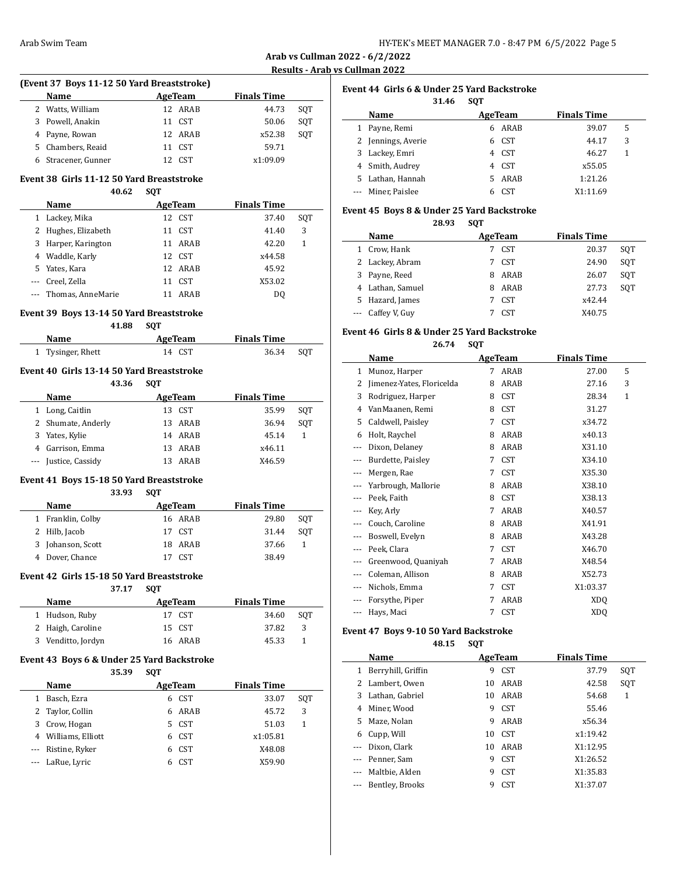# **(Event 37 Boys 11-12 50 Yard Breaststroke) Name Age Team Finals Time** 2 Watts, William 12 ARAB 44.73 SQT

|  | 3 Powell, Anakin    | 11 CST  | 50.06    | SOT |
|--|---------------------|---------|----------|-----|
|  | 4 Payne, Rowan      | 12 ARAB | x52.38   | SOT |
|  | 5 Chambers, Reaid   | 11 CST  | 59.71    |     |
|  | 6 Stracener, Gunner | 12 CST  | x1:09.09 |     |

# **Event 38 Girls 11-12 50 Yard Breaststroke**

#### **40.62 SQT**

|          | <b>Name</b>           |    | AgeTeam    | <b>Finals Time</b> |     |
|----------|-----------------------|----|------------|--------------------|-----|
| 1        | Lackey, Mika          | 12 | CST        | 37.40              | SQT |
|          | 2 Hughes, Elizabeth   | 11 | CST        | 41.40              | 3   |
| 3        | Harper, Karington     |    | 11 ARAB    | 42.20              | 1   |
|          | 4 Waddle, Karly       |    | 12 CST     | x44.58             |     |
|          | 5 Yates, Kara         |    | 12 ARAB    | 45.92              |     |
| $\cdots$ | Creel, Zella          | 11 | <b>CST</b> | X53.02             |     |
|          | --- Thomas, AnneMarie | 11 | ARAB       | D0                 |     |

# **Event 39 Boys 13-14 50 Yard Breaststroke**

|                   | 41.88 | <b>SOT</b> |         |                    |     |
|-------------------|-------|------------|---------|--------------------|-----|
| Name              |       |            | AgeTeam | <b>Finals Time</b> |     |
| 1 Tysinger, Rhett |       |            | 14 CST  | 36.34              | SOT |

# **Event 40 Girls 13-14 50 Yard Breaststroke**

|    | 43.36              | <b>SOT</b> |      |                    |     |
|----|--------------------|------------|------|--------------------|-----|
|    | Name               | AgeTeam    |      | <b>Finals Time</b> |     |
|    | 1 Long, Caitlin    | 13.        | CST  | 35.99              | SOT |
|    | 2 Shumate, Anderly | 13.        | ARAB | 36.94              | SOT |
| 3. | Yates, Kylie       | 14 ARAB    |      | 45.14              | 1   |
| 4  | Garrison, Emma     | 13         | ARAB | x46.11             |     |
|    | Justice, Cassidy   |            | ARAB | X46.59             |     |

# **Event 41 Boys 15-18 50 Yard Breaststroke**

#### **33.93 SQT**

| <b>Name</b>       | AgeTeam | <b>Finals Time</b> |     |
|-------------------|---------|--------------------|-----|
| 1 Franklin, Colby | 16 ARAB | 29.80              | SOT |
| 2 Hilb, Jacob     | 17 CST  | 31.44              | SOT |
| 3 Johanson, Scott | 18 ARAB | 37.66              |     |
| 4 Dover, Chance   | 17 CST  | 38.49              |     |

# **Event 42 Girls 15-18 50 Yard Breaststroke**

**37.17 SQT**

| Name               | AgeTeam | <b>Finals Time</b> |     |
|--------------------|---------|--------------------|-----|
| 1 Hudson, Ruby     | 17 CST  | 34.60              | SOT |
| 2 Haigh, Caroline  | 15 CST  | 37.82              | 3   |
| 3 Venditto, Jordyn | 16 ARAB | 45.33              |     |

# **Event 43 Boys 6 & Under 25 Yard Backstroke**

|   | 35.39              | <b>SOT</b> |            |                    |     |
|---|--------------------|------------|------------|--------------------|-----|
|   | Name               |            | AgeTeam    | <b>Finals Time</b> |     |
|   | Basch, Ezra        | 6          | <b>CST</b> | 33.07              | SOT |
|   | 2 Taylor, Collin   | 6          | ARAB       | 45.72              | 3   |
| 3 | Crow, Hogan        | 5.         | <b>CST</b> | 51.03              | 1   |
| 4 | Williams, Elliott  | 6          | <b>CST</b> | x1:05.81           |     |
|   | --- Ristine, Ryker | 6          | <b>CST</b> | X48.08             |     |
|   | LaRue, Lyric       | 6          | <b>CST</b> | X59.90             |     |

# **Event 44 Girls 6 & Under 25 Yard Backstroke**

|                    | 31.46 | <b>SOT</b> |            |                    |   |
|--------------------|-------|------------|------------|--------------------|---|
| Name               |       |            | AgeTeam    | <b>Finals Time</b> |   |
| Payne, Remi        |       |            | 6 ARAB     | 39.07              | 5 |
| 2 Jennings, Averie |       | 6.         | <b>CST</b> | 44.17              | 3 |
| 3 Lackey, Emri     |       |            | 4 CST      | 46.27              | 1 |
| 4 Smith, Audrey    |       | 4          | CST        | x55.05             |   |
| 5 Lathan, Hannah   |       | 5.         | ARAB       | 1:21.26            |   |
| --- Miner, Paislee |       |            | <b>CST</b> | X1:11.69           |   |

### **Event 45 Boys 8 & Under 25 Yard Backstroke**

**28.93 SQT**

|              | Name              |   | AgeTeam    | <b>Finals Time</b> |     |
|--------------|-------------------|---|------------|--------------------|-----|
| $\mathbf{1}$ | Crow, Hank        |   | 7 CST      | 20.37              | SOT |
|              | 2 Lackey, Abram   |   | 7 CST      | 24.90              | SOT |
|              | 3 Payne, Reed     | 8 | ARAB       | 26.07              | SOT |
|              | 4 Lathan, Samuel  | 8 | ARAB       | 27.73              | SOT |
|              | 5 Hazard, James   |   | 7 CST      | x42.44             |     |
|              | --- Caffey V, Guy |   | <b>CST</b> | X40.75             |     |

# **Event 46 Girls 8 & Under 25 Yard Backstroke**

**26.74 SQT**

|          | Name                      |   | <b>AgeTeam</b> | <b>Finals Time</b> |   |
|----------|---------------------------|---|----------------|--------------------|---|
| 1        | Munoz, Harper             | 7 | ARAB           | 27.00              | 5 |
| 2        | Jimenez-Yates, Floricelda | 8 | ARAB           | 27.16              | 3 |
| 3        | Rodriguez, Harper         | 8 | <b>CST</b>     | 28.34              | 1 |
| 4        | VanMaanen, Remi           | 8 | <b>CST</b>     | 31.27              |   |
| 5        | Caldwell, Paisley         | 7 | <b>CST</b>     | x34.72             |   |
| 6        | Holt, Raychel             | 8 | ARAB           | x40.13             |   |
|          | Dixon, Delaney            | 8 | ARAB           | X31.10             |   |
| ---      | Burdette, Paisley         | 7 | <b>CST</b>     | X34.10             |   |
| ---      | Mergen, Rae               | 7 | <b>CST</b>     | X35.30             |   |
|          | Yarbrough, Mallorie       | 8 | ARAB           | X38.10             |   |
|          | Peek, Faith               | 8 | <b>CST</b>     | X38.13             |   |
|          | Key, Arly                 | 7 | ARAB           | X40.57             |   |
| ---      | Couch, Caroline           | 8 | ARAB           | X41.91             |   |
|          | Boswell, Evelyn           | 8 | ARAB           | X43.28             |   |
| $---$    | Peek, Clara               | 7 | <b>CST</b>     | X46.70             |   |
| ---      | Greenwood, Quaniyah       | 7 | ARAB           | X48.54             |   |
| ---      | Coleman, Allison          | 8 | ARAB           | X52.73             |   |
| $- - -$  | Nichols, Emma             | 7 | <b>CST</b>     | X1:03.37           |   |
|          | Forsythe, Piper           | 7 | ARAB           | XDO                |   |
| $\cdots$ | Hays, Maci                | 7 | <b>CST</b>     | <b>XDQ</b>         |   |

# **Event 47 Boys 9-10 50 Yard Backstroke**

**48.15 SQT**

|                                                                                                                                                                                                                                                                                                                                                                                              | Name                |    | AgeTeam    | <b>Finals Time</b> |     |
|----------------------------------------------------------------------------------------------------------------------------------------------------------------------------------------------------------------------------------------------------------------------------------------------------------------------------------------------------------------------------------------------|---------------------|----|------------|--------------------|-----|
| $\mathbf{1}$                                                                                                                                                                                                                                                                                                                                                                                 | Berryhill, Griffin  | 9  | <b>CST</b> | 37.79              | SQT |
|                                                                                                                                                                                                                                                                                                                                                                                              | 2 Lambert, Owen     | 10 | ARAB       | 42.58              | SQT |
| 3                                                                                                                                                                                                                                                                                                                                                                                            | Lathan, Gabriel     | 10 | ARAB       | 54.68              | 1   |
| 4                                                                                                                                                                                                                                                                                                                                                                                            | Miner, Wood         | 9  | <b>CST</b> | 55.46              |     |
| 5.                                                                                                                                                                                                                                                                                                                                                                                           | Maze. Nolan         | 9  | ARAB       | x56.34             |     |
| 6                                                                                                                                                                                                                                                                                                                                                                                            | Cupp, Will          | 10 | <b>CST</b> | x1:19.42           |     |
| $\cdots$                                                                                                                                                                                                                                                                                                                                                                                     | Dixon, Clark        | 10 | ARAB       | X1:12.95           |     |
|                                                                                                                                                                                                                                                                                                                                                                                              | --- Penner, Sam     | 9  | <b>CST</b> | X1:26.52           |     |
| $\frac{1}{2} \frac{1}{2} \frac{1}{2} \frac{1}{2} \frac{1}{2} \frac{1}{2} \frac{1}{2} \frac{1}{2} \frac{1}{2} \frac{1}{2} \frac{1}{2} \frac{1}{2} \frac{1}{2} \frac{1}{2} \frac{1}{2} \frac{1}{2} \frac{1}{2} \frac{1}{2} \frac{1}{2} \frac{1}{2} \frac{1}{2} \frac{1}{2} \frac{1}{2} \frac{1}{2} \frac{1}{2} \frac{1}{2} \frac{1}{2} \frac{1}{2} \frac{1}{2} \frac{1}{2} \frac{1}{2} \frac{$ | Maltbie, Alden      | 9  | <b>CST</b> | X1:35.83           |     |
|                                                                                                                                                                                                                                                                                                                                                                                              | --- Bentley, Brooks | 9  | <b>CST</b> | X1:37.07           |     |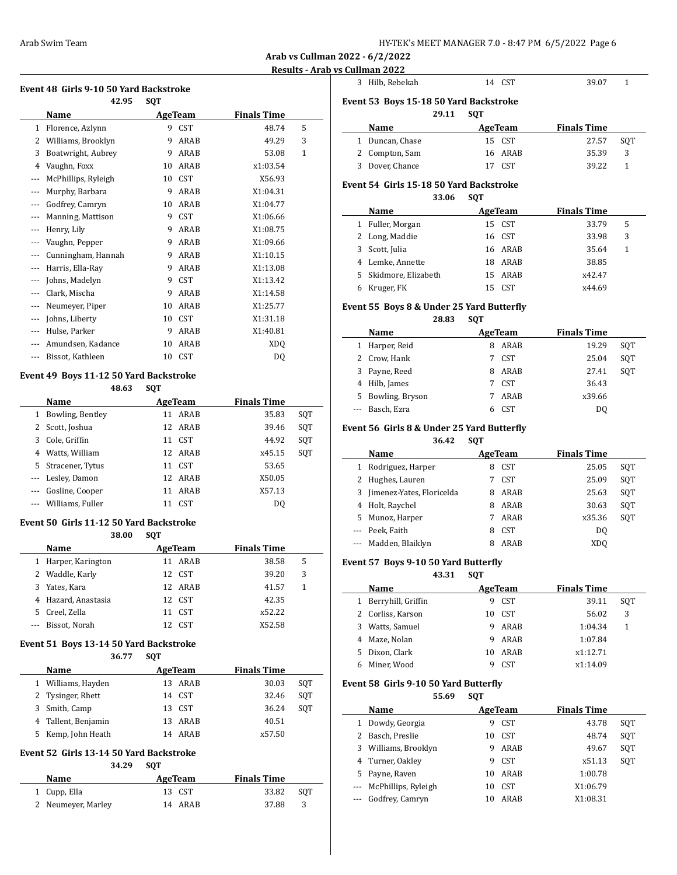**Arab vs Cullman 2022 - 6/2/2022**

# **Results - Arab vs Cullman 2022**

#### **Event 48 Girls 9-10 50 Yard Backstroke**

|                | 42.95               | SQT |                |                    |   |
|----------------|---------------------|-----|----------------|--------------------|---|
|                | Name                |     | <b>AgeTeam</b> | <b>Finals Time</b> |   |
| 1              | Florence, Azlynn    | 9   | <b>CST</b>     | 48.74              | 5 |
| 2              | Williams, Brooklyn  | 9   | ARAB           | 49.29              | 3 |
| 3              | Boatwright, Aubrey  | 9   | ARAB           | 53.08              | 1 |
| 4              | Vaughn, Foxx        | 10  | ARAB           | x1:03.54           |   |
| ---            | McPhillips, Ryleigh | 10  | <b>CST</b>     | X56.93             |   |
| ---            | Murphy, Barbara     | 9   | ARAB           | X1:04.31           |   |
| $---$          | Godfrey, Camryn     | 10  | ARAB           | X1:04.77           |   |
|                | Manning, Mattison   | 9   | <b>CST</b>     | X1:06.66           |   |
| $---$          | Henry, Lily         | 9   | ARAB           | X1:08.75           |   |
|                | Vaughn, Pepper      | 9   | ARAB           | X1:09.66           |   |
| ---            | Cunningham, Hannah  | 9   | ARAB           | X1:10.15           |   |
| $---$          | Harris, Ella-Ray    | 9   | ARAB           | X1:13.08           |   |
| $\overline{a}$ | Johns, Madelyn      | 9   | <b>CST</b>     | X1:13.42           |   |
| $---$          | Clark, Mischa       | 9   | ARAB           | X1:14.58           |   |
|                | Neumeyer, Piper     | 10  | ARAB           | X1:25.77           |   |
| $---$          | Johns, Liberty      | 10  | <b>CST</b>     | X1:31.18           |   |
| $- - -$        | Hulse, Parker       | 9   | ARAB           | X1:40.81           |   |
| ---            | Amundsen, Kadance   | 10  | ARAB           | XD <sub>0</sub>    |   |
| $---$          | Bissot, Kathleen    | 10  | <b>CST</b>     | DQ                 |   |

### **Event 49 Boys 11-12 50 Yard Backstroke**

#### **48.63 SQT**

|          | Name                 | AgeTeam |            | <b>Finals Time</b> |     |
|----------|----------------------|---------|------------|--------------------|-----|
|          | Bowling, Bentley     |         | 11 ARAB    | 35.83              | SOT |
|          | Scott, Joshua        |         | 12 ARAB    | 39.46              | SOT |
| 3        | Cole, Griffin        |         | 11 CST     | 44.92              | SOT |
| 4        | Watts, William       |         | 12 ARAB    | x45.15             | SOT |
| 5.       | Stracener, Tytus     | 11      | <b>CST</b> | 53.65              |     |
|          | --- Lesley, Damon    |         | 12 ARAB    | X50.05             |     |
| $\cdots$ | Gosline, Cooper      | 11      | ARAB       | X57.13             |     |
|          | --- Williams, Fuller |         | <b>CST</b> | DO                 |     |

#### **Event 50 Girls 11-12 50 Yard Backstroke**

**38.00 SQT**

|    | Name                |    | AgeTeam          | <b>Finals Time</b> |   |
|----|---------------------|----|------------------|--------------------|---|
|    | 1 Harper, Karington |    | 11 ARAB          | 38.58              | 5 |
|    | 2 Waddle, Karly     |    | 12 CST           | 39.20              | 3 |
| 3. | Yates. Kara         |    | 12 ARAB          | 41.57              | 1 |
|    | 4 Hazard, Anastasia |    | 12 CST           | 42.35              |   |
| 5. | Creel, Zella        | 11 | CST <sup>.</sup> | x52.22             |   |
|    | Bissot, Norah       |    | 12 CST           | X52.58             |   |

#### **Event 51 Boys 13-14 50 Yard Backstroke**

| 36.77 | SOT |
|-------|-----|
|       |     |

| Name                   | AgeTeam    | <b>Finals Time</b> |     |
|------------------------|------------|--------------------|-----|
| 1 Williams, Hayden     | 13 ARAB    | 30.03              | SOT |
| 2 Tysinger, Rhett      | 14 CST     | 32.46              | SOT |
| 3 Smith, Camp          | 13 CST     | 36.24              | SOT |
| 4 Tallent, Benjamin    | 13 ARAB    | 40.51              |     |
| Kemp, John Heath<br>5. | ARAR<br>14 | x57.50             |     |

# **Event 52 Girls 13-14 50 Yard Backstroke**

**34.29 SQT**

| <b>Name</b>        | AgeTeam | <b>Finals Time</b> |
|--------------------|---------|--------------------|
| 1 Cupp, Ella       | 13 CST  | 33.82<br>SOT       |
| 2 Neumeyer, Marley | 14 ARAR | 37.88<br>-3        |

|                                        | 3 Hilb, Rebekah | 14 CST | 39.07 |  |  |  |
|----------------------------------------|-----------------|--------|-------|--|--|--|
| Event 53 Boys 15-18 50 Yard Backstroke |                 |        |       |  |  |  |
|                                        | 29.11 SOT       |        |       |  |  |  |

| Name            | AgeTeam | <b>Finals Time</b> |     |
|-----------------|---------|--------------------|-----|
| 1 Duncan, Chase | 15 CST  | 27.57              | SOT |
| 2 Compton, Sam  | 16 ARAB | 35.39              | -3  |
| 3 Dover, Chance | 17 CST  | 39.22              |     |

# **Event 54 Girls 15-18 50 Yard Backstroke**

#### **33.06 SQT**

| Name                  | AgeTeam    | <b>Finals Time</b> |
|-----------------------|------------|--------------------|
| 1 Fuller, Morgan      | 15 CST     | 5<br>33.79         |
| 2 Long, Maddie        | 16 CST     | 33.98<br>3         |
| 3 Scott, Julia        | 16 ARAB    | 35.64              |
| 4 Lemke, Annette      | 18 ARAB    | 38.85              |
| 5 Skidmore, Elizabeth | 15 ARAB    | x42.47             |
| 6 Kruger, FK          | <b>CST</b> | x44.69             |

#### **Event 55 Boys 8 & Under 25 Yard Butterfly**

**28.83 SQT**

|  | Name              |   | AgeTeam    | <b>Finals Time</b> |     |
|--|-------------------|---|------------|--------------------|-----|
|  | 1 Harper, Reid    | 8 | ARAB       | 19.29              | SOT |
|  | 2 Crow, Hank      |   | 7 CST      | 25.04              | SOT |
|  | 3 Payne, Reed     |   | 8 ARAB     | 27.41              | SOT |
|  | 4 Hilb, James     |   | 7 CST      | 36.43              |     |
|  | 5 Bowling, Bryson | 7 | ARAB       | x39.66             |     |
|  | --- Basch, Ezra   |   | <b>CST</b> | DO                 |     |

#### **Event 56 Girls 8 & Under 25 Yard Butterfly**

**36.42 SQT**

|   | Name                        | AgeTeam         | <b>Finals Time</b> |     |
|---|-----------------------------|-----------------|--------------------|-----|
| 1 | Rodriguez, Harper           | <b>CST</b><br>8 | 25.05              | SOT |
|   | 2 Hughes, Lauren            | <b>CST</b><br>7 | 25.09              | SOT |
|   | 3 Jimenez-Yates, Floricelda | ARAB<br>8       | 25.63              | SOT |
|   | 4 Holt, Raychel             | ARAB<br>8       | 30.63              | SOT |
|   | 5 Munoz, Harper             | ARAB<br>7       | x35.36             | SOT |
|   | --- Peek, Faith             | <b>CST</b><br>8 | D <sub>0</sub>     |     |
|   | --- Madden, Blaiklyn        | ARAB<br>8       | XDO                |     |

#### **Event 57 Boys 9-10 50 Yard Butterfly**

**43.31 SQT**

| AgeTeam<br>Name      |     |                  | <b>Finals Time</b> |     |  |
|----------------------|-----|------------------|--------------------|-----|--|
| 1 Berryhill, Griffin | 9   | CST              | 39.11              | SOT |  |
| 2 Corliss, Karson    | 10  | <b>CST</b>       | 56.02              | 3   |  |
| 3 Watts, Samuel      | 9   | ARAB             | 1:04.34            |     |  |
| 4 Maze, Nolan        | q,  | ARAB             | 1:07.84            |     |  |
| 5 Dixon, Clark       | 10. | ARAB             | x1:12.71           |     |  |
| Miner, Wood          |     | CST <sup>.</sup> | x1:14.09           |     |  |

#### **Event 58 Girls 9-10 50 Yard Butterfly**

**55.69 SQT**

|   | Name                    | AgeTeam |                  | <b>Finals Time</b> |     |
|---|-------------------------|---------|------------------|--------------------|-----|
| 1 | Dowdy, Georgia          | 9       | <b>CST</b>       | 43.78              | SOT |
|   | 2 Basch, Preslie        | 10      | <b>CST</b>       | 48.74              | SOT |
| 3 | Williams, Brooklyn      | 9       | ARAB             | 49.67              | SOT |
|   | 4 Turner, Oakley        | 9       | <b>CST</b>       | x51.13             | SOT |
|   | 5 Payne, Raven          | 10      | ARAB             | 1:00.78            |     |
|   | --- McPhillips, Ryleigh | 10      | CST <sup>.</sup> | X1:06.79           |     |
|   | Godfrey, Camryn         | 10      | ARAR             | X1:08.31           |     |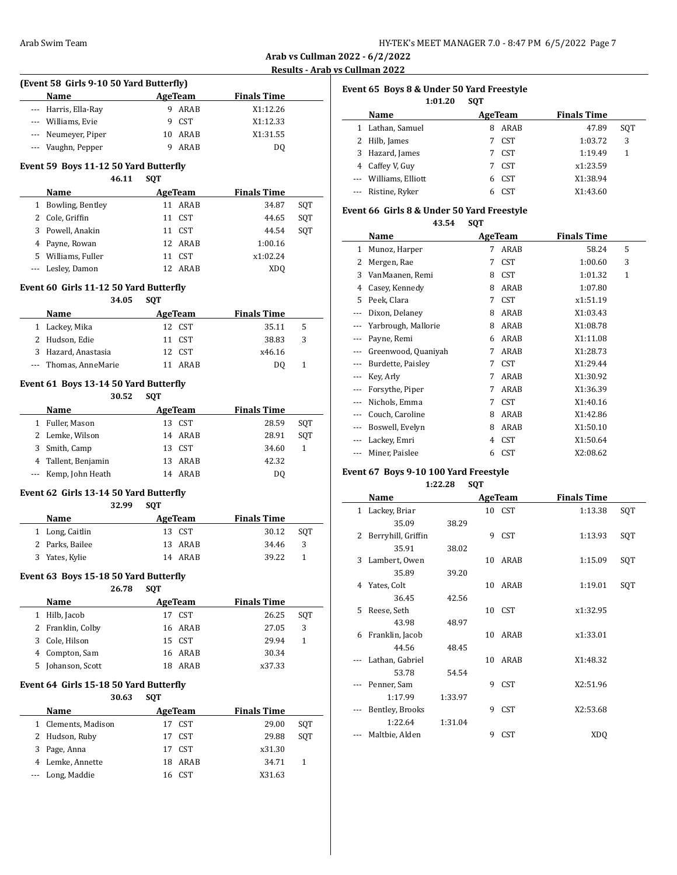**Arab vs Cullman 2022 - 6/2/2022 <u>S Cullman 2022</u>** 

|              |                                                 |                          |                  |                    | <b>Arab vs Cullman 202</b>  |
|--------------|-------------------------------------------------|--------------------------|------------------|--------------------|-----------------------------|
|              |                                                 |                          |                  |                    | <b>Results - Arab vs Cu</b> |
|              | (Event 58 Girls 9-10 50 Yard Butterfly)         |                          |                  |                    | Ev                          |
|              | Name                                            |                          | <b>AgeTeam</b>   | <b>Finals Time</b> |                             |
|              | --- Harris, Ella-Ray                            |                          | 9 ARAB           | X1:12.26           |                             |
|              | --- Williams, Evie                              |                          | 9 CST            | X1:12.33           |                             |
|              | --- Neumeyer, Piper                             |                          | 10 ARAB          | X1:31.55           |                             |
|              | --- Vaughn, Pepper                              |                          | 9 ARAB           | DQ                 |                             |
|              | Event 59 Boys 11-12 50 Yard Butterfly           |                          |                  |                    |                             |
|              | 46.11                                           | <b>SQT</b>               |                  |                    |                             |
|              | Name                                            | <b>Example 2</b> AgeTeam |                  | <b>Finals Time</b> |                             |
|              | 1 Bowling, Bentley                              |                          | 11 ARAB          | 34.87              | SQT<br>Ev                   |
|              | 2 Cole, Griffin                                 | 11                       | <b>CST</b>       | 44.65              | SQT                         |
|              | 3 Powell, Anakin                                |                          | 11 CST           | 44.54              | SQT                         |
|              | 4 Payne, Rowan                                  |                          | 12 ARAB          | 1:00.16            |                             |
|              | 5 Williams, Fuller                              |                          | 11 CST           | x1:02.24           |                             |
|              | --- Lesley, Damon                               |                          | 12 ARAB          | <b>XDQ</b>         |                             |
|              |                                                 |                          |                  |                    |                             |
|              | Event 60 Girls 11-12 50 Yard Butterfly<br>34.05 | <b>SQT</b>               |                  |                    |                             |
|              |                                                 |                          |                  | <b>Finals Time</b> |                             |
|              | Name                                            |                          | <b>AgeTeam</b>   |                    |                             |
|              | 1 Lackey, Mika                                  |                          | 12 CST           | 35.11              | 5                           |
|              | 2 Hudson, Edie                                  |                          | 11 CST<br>12 CST | 38.83              | 3                           |
|              | 3 Hazard, Anastasia                             |                          |                  | x46.16             |                             |
|              | --- Thomas, AnneMarie                           |                          | 11 ARAB          | DQ                 | 1                           |
|              | Event 61 Boys 13-14 50 Yard Butterfly           |                          |                  |                    |                             |
|              | 30.52                                           | <b>SQT</b>               |                  |                    |                             |
|              | Name                                            |                          | AgeTeam          | <b>Finals Time</b> |                             |
|              | 1 Fuller, Mason                                 |                          | 13 CST           | 28.59              | SQT                         |
|              | 2 Lemke, Wilson                                 |                          | 14 ARAB          | 28.91              | SQT                         |
|              | 3 Smith, Camp                                   |                          | 13 CST           | 34.60              | 1                           |
|              | 4 Tallent, Benjamin                             |                          | 13 ARAB          | 42.32              |                             |
| ---          | Kemp, John Heath                                |                          | 14 ARAB          | DQ                 | Ev                          |
|              | Event 62 Girls 13-14 50 Yard Butterfly          |                          |                  |                    |                             |
|              | 32.99                                           | <b>SQT</b>               |                  |                    |                             |
|              | Name                                            |                          | AgeTeam          | <b>Finals Time</b> |                             |
|              | 1 Long, Caitlin                                 |                          | 13 CST           | 30.12              | SQT                         |
|              | 2 Parks, Bailee                                 |                          | 13 ARAB          | 34.46              | 3                           |
|              | 3 Yates, Kylie                                  |                          | 14 ARAB          | 39.22              | 1                           |
|              |                                                 |                          |                  |                    |                             |
|              | Event 63 Boys 15-18 50 Yard Butterfly           |                          |                  |                    |                             |
|              | 26.78                                           | <b>SQT</b>               |                  |                    |                             |
|              | Name                                            |                          | AgeTeam          | <b>Finals Time</b> |                             |
| $\mathbf{1}$ | Hilb, Jacob                                     |                          | 17 CST           | 26.25              | SQT                         |
| 2            | Franklin, Colby                                 | 16                       | ARAB             | 27.05              | 3                           |
| 3            | Cole, Hilson                                    | 15                       | <b>CST</b>       | 29.94              | 1                           |
| 4            | Compton, Sam                                    |                          | 16 ARAB          | 30.34              |                             |
| 5            | Johanson, Scott                                 |                          | 18 ARAB          | x37.33             |                             |
|              | Event 64 Girls 15-18 50 Yard Butterfly          |                          |                  |                    |                             |
|              | 30.63                                           | <b>SQT</b>               |                  |                    |                             |
|              | Name                                            |                          | <b>AgeTeam</b>   | <b>Finals Time</b> |                             |
| $\mathbf{1}$ | Clements, Madison                               |                          | 17 CST           | 29.00              | SQT                         |
| 2            | Hudson, Ruby                                    | 17                       | CST              | 29.88              | SQT                         |
| 3            | Page, Anna                                      | 17                       | <b>CST</b>       | x31.30             |                             |
| 4            | Lemke, Annette                                  |                          | 18 ARAB          | 34.71              | 1                           |
|              | Long, Maddie                                    |                          | 16 CST           | X31.63             |                             |
|              |                                                 |                          |                  |                    |                             |

| Event 65 Boys 8 & Under 50 Yard Freestyle |                       |            |            |                    |     |  |  |  |
|-------------------------------------------|-----------------------|------------|------------|--------------------|-----|--|--|--|
|                                           | 1:01.20               | <b>SOT</b> |            |                    |     |  |  |  |
|                                           | Name                  |            | AgeTeam    | <b>Finals Time</b> |     |  |  |  |
|                                           | Lathan, Samuel        | 8          | ARAB       | 47.89              | SOT |  |  |  |
|                                           | Hilb, James           | 7          | <b>CST</b> | 1:03.72            | 3   |  |  |  |
| 3                                         | Hazard, James         | 7          | <b>CST</b> | 1:19.49            | 1   |  |  |  |
| 4                                         | Caffey V, Guy         |            | <b>CST</b> | x1:23.59           |     |  |  |  |
|                                           | --- Williams, Elliott | 6          | CST        | X1:38.94           |     |  |  |  |
|                                           | --- Ristine, Ryker    | h          | <b>CST</b> | X1:43.60           |     |  |  |  |

# **Event 66 Girls 8 & Under 50 Yard Freestyle**

**43.54 SQT**

|     | Name                |   | AgeTeam    | <b>Finals Time</b> |              |  |
|-----|---------------------|---|------------|--------------------|--------------|--|
| 1   | Munoz, Harper       | 7 | ARAB       | 58.24              | 5            |  |
| 2   | Mergen, Rae         | 7 | <b>CST</b> | 1:00.60            | 3            |  |
| 3   | VanMaanen, Remi     | 8 | <b>CST</b> | 1:01.32            | $\mathbf{1}$ |  |
| 4   | Casey, Kennedy      | 8 | ARAB       | 1:07.80            |              |  |
| 5   | Peek, Clara         | 7 | <b>CST</b> | x1:51.19           |              |  |
| $-$ | Dixon, Delaney      | 8 | ARAB       | X1:03.43           |              |  |
| --- | Yarbrough, Mallorie | 8 | ARAB       | X1:08.78           |              |  |
| --- | Payne, Remi         | 6 | ARAB       | X1:11.08           |              |  |
| --- | Greenwood, Quaniyah | 7 | ARAB       | X1:28.73           |              |  |
| --- | Burdette, Paisley   | 7 | <b>CST</b> | X1:29.44           |              |  |
| --- | Key, Arly           | 7 | ARAB       | X1:30.92           |              |  |
| --- | Forsythe, Piper     | 7 | ARAB       | X1:36.39           |              |  |
|     | Nichols, Emma       | 7 | <b>CST</b> | X1:40.16           |              |  |
| --- | Couch, Caroline     | 8 | ARAB       | X1:42.86           |              |  |
| --- | Boswell, Evelyn     | 8 | ARAB       | X1:50.10           |              |  |
| --- | Lackey, Emri        | 4 | <b>CST</b> | X1:50.64           |              |  |
| --- | Miner, Paislee      | 6 | <b>CST</b> | X2:08.62           |              |  |

# **Event 67 Boys 9-10 100 Yard Freestyle**

**1:22.28 SQT**

|    | Name               |         | AgeTeam |            | <b>Finals Time</b> |     |
|----|--------------------|---------|---------|------------|--------------------|-----|
|    | 1 Lackey, Briar    |         |         | 10 CST     | 1:13.38            | SQT |
|    | 35.09              | 38.29   |         |            |                    |     |
| 2  | Berryhill, Griffin |         | 9       | CST        | 1:13.93            | SQT |
|    | 35.91              | 38.02   |         |            |                    |     |
| 3  | Lambert, Owen      |         | 10      | ARAB       | 1:15.09            | SQT |
|    | 35.89              | 39.20   |         |            |                    |     |
| 4  | Yates, Colt        |         | 10      | ARAB       | 1:19.01            | SQT |
|    | 36.45              | 42.56   |         |            |                    |     |
| 5. | Reese, Seth        |         |         | 10 CST     | x1:32.95           |     |
|    | 43.98              | 48.97   |         |            |                    |     |
| 6  | Franklin, Jacob    |         | 10      | ARAB       | x1:33.01           |     |
|    | 44.56              | 48.45   |         |            |                    |     |
|    | Lathan, Gabriel    |         | 10      | ARAB       | X1:48.32           |     |
|    | 53.78              | 54.54   |         |            |                    |     |
|    | Penner, Sam        |         | 9       | <b>CST</b> | X2:51.96           |     |
|    | 1:17.99            | 1:33.97 |         |            |                    |     |
|    | Bentley, Brooks    |         | 9       | <b>CST</b> | X2:53.68           |     |
|    | 1:22.64            | 1:31.04 |         |            |                    |     |
|    | Maltbie, Alden     |         | 9       | CST        | <b>XDQ</b>         |     |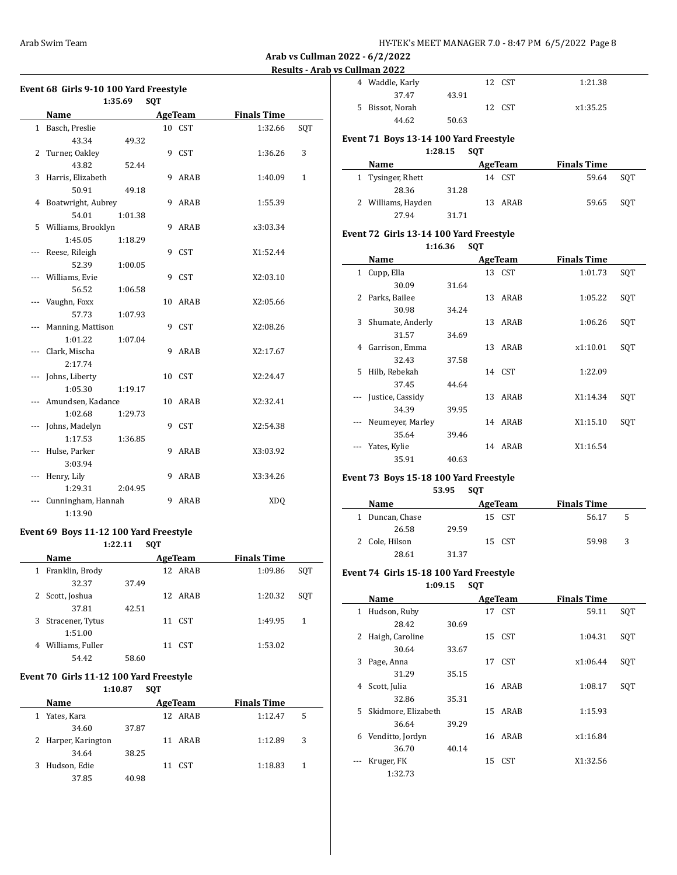# **Event 68 Girls 9-10 100 Yard Freestyle**

|     | 1:35.69              |         | SQT |                |                    |     |
|-----|----------------------|---------|-----|----------------|--------------------|-----|
|     | Name                 |         |     | <b>AgeTeam</b> | <b>Finals Time</b> |     |
|     | 1 Basch, Preslie     |         |     | 10 CST         | 1:32.66            | SQT |
|     | 43.34                | 49.32   |     |                |                    |     |
| 2   | Turner, Oakley       |         | 9   | CST            | 1:36.26            | 3   |
|     | 43.82                | 52.44   |     |                |                    |     |
| 3   | Harris, Elizabeth    |         | 9   | ARAB           | 1:40.09            | 1   |
|     | 50.91                | 49.18   |     |                |                    |     |
|     | 4 Boatwright, Aubrey |         | 9   | ARAB           | 1:55.39            |     |
|     | 54.01                | 1:01.38 |     |                |                    |     |
|     | 5 Williams, Brooklyn |         | 9   | ARAB           | x3:03.34           |     |
|     | 1:45.05              | 1:18.29 |     |                |                    |     |
| --- | Reese, Rileigh       |         | 9   | CST            | X1:52.44           |     |
|     | 52.39                | 1:00.05 |     |                |                    |     |
|     | Williams, Evie       |         | 9   | CST            | X2:03.10           |     |
|     | 56.52                | 1:06.58 |     |                |                    |     |
|     | Vaughn, Foxx         |         | 10  | ARAB           | X2:05.66           |     |
|     | 57.73                | 1:07.93 |     |                |                    |     |
|     | Manning, Mattison    |         |     | 9 CST          | X2:08.26           |     |
|     | 1:01.22              | 1:07.04 |     |                |                    |     |
| --- | Clark, Mischa        |         | 9   | ARAB           | X2:17.67           |     |
|     | 2:17.74              |         |     |                |                    |     |
| --- | Johns, Liberty       |         |     | 10 CST         | X2:24.47           |     |
|     | 1:05.30              | 1:19.17 |     |                |                    |     |
|     | Amundsen, Kadance    |         |     | 10 ARAB        | X2:32.41           |     |
|     | 1:02.68              | 1:29.73 |     |                |                    |     |
| --- | Johns, Madelyn       |         |     | 9 CST          | X2:54.38           |     |
|     | 1:17.53              | 1:36.85 |     |                |                    |     |
| --- | Hulse, Parker        |         | 9   | ARAB           | X3:03.92           |     |
|     | 3:03.94              |         |     |                |                    |     |
| --- | Henry, Lily          |         | 9   | ARAB           | X3:34.26           |     |
|     | 1:29.31              | 2:04.95 |     |                |                    |     |
|     | Cunningham, Hannah   |         | 9   | ARAB           | XD <sub>O</sub>    |     |
|     | 1:13.90              |         |     |                |                    |     |

# **Event 69 Boys 11-12 100 Yard Freestyle**

**1:22.11 SQT**

|   | Name             |       | AgeTeam    | <b>Finals Time</b> |     |
|---|------------------|-------|------------|--------------------|-----|
| 1 | Franklin, Brody  |       | 12 ARAB    | 1:09.86            | SOT |
|   | 32.37            | 37.49 |            |                    |     |
|   | 2 Scott, Joshua  |       | 12 ARAB    | 1:20.32            | SOT |
|   | 37.81            | 42.51 |            |                    |     |
| 3 | Stracener, Tytus |       | CST<br>11  | 1:49.95            | 1   |
|   | 1:51.00          |       |            |                    |     |
| 4 | Williams, Fuller |       | CST.<br>11 | 1:53.02            |     |
|   | 54.42            | 58.60 |            |                    |     |

#### **Event 70 Girls 11-12 100 Yard Freestyle 1:10.87 SQT**

|   | 1.1V.O/             |       |    |         |                    |   |  |
|---|---------------------|-------|----|---------|--------------------|---|--|
|   | Name                |       |    | AgeTeam | <b>Finals Time</b> |   |  |
| 1 | Yates, Kara         |       |    | 12 ARAB | 1:12.47            | 5 |  |
|   | 34.60               | 37.87 |    |         |                    |   |  |
|   | 2 Harper, Karington |       |    | 11 ARAB | 1:12.89            | 3 |  |
|   | 34.64               | 38.25 |    |         |                    |   |  |
| 3 | Hudson, Edie        |       | 11 | CST     | 1:18.83            |   |  |
|   | 37.85               | 40.98 |    |         |                    |   |  |

| 4 Waddle, Karly |       | 12 CST | 1:21.38  |
|-----------------|-------|--------|----------|
| 37.47           | 43.91 |        |          |
| 5 Bissot, Norah |       | 12 CST | x1:35.25 |
| 44.62           | 50.63 |        |          |

# **Event 71 Boys 13-14 100 Yard Freestyle**

**1:28.15 SQT**

| Name               |       | AgeTeam | <b>Finals Time</b> |       |     |
|--------------------|-------|---------|--------------------|-------|-----|
| 1 Tysinger, Rhett  |       | 14 CST  |                    | 59.64 | SOT |
| 28.36              | 31.28 |         |                    |       |     |
| 2 Williams, Hayden |       | 13 ARAB |                    | 59.65 | SOT |
| 27.94              | 31.71 |         |                    |       |     |

# **Event 72 Girls 13-14 100 Yard Freestyle**

**1:16.36 SQT**

|              | Name               |       |    | AgeTeam | <b>Finals Time</b> |     |
|--------------|--------------------|-------|----|---------|--------------------|-----|
| $\mathbf{1}$ | Cupp, Ella         |       |    | 13 CST  | 1:01.73            | SOT |
|              | 30.09              | 31.64 |    |         |                    |     |
| 2            | Parks, Bailee      |       |    | 13 ARAB | 1:05.22            | SQT |
|              | 30.98              | 34.24 |    |         |                    |     |
|              | 3 Shumate, Anderly |       | 13 | ARAB    | 1:06.26            | SQT |
|              | 31.57              | 34.69 |    |         |                    |     |
| 4            | Garrison, Emma     |       | 13 | ARAB    | x1:10.01           | SQT |
|              | 32.43              | 37.58 |    |         |                    |     |
| 5.           | Hilb, Rebekah      |       |    | 14 CST  | 1:22.09            |     |
|              | 37.45              | 44.64 |    |         |                    |     |
| $\cdots$     | Justice, Cassidy   |       |    | 13 ARAB | X1:14.34           | SOT |
|              | 34.39              | 39.95 |    |         |                    |     |
| $\cdots$     | Neumeyer, Marley   |       |    | 14 ARAB | X1:15.10           | SQT |
|              | 35.64              | 39.46 |    |         |                    |     |
|              | Yates, Kylie       |       | 14 | ARAB    | X1:16.54           |     |
|              | 35.91              | 40.63 |    |         |                    |     |

#### **Event 73 Boys 15-18 100 Yard Freestyle 53.95 SQT**

| Name            |       | AgeTeam |        | <b>Finals Time</b> |   |  |
|-----------------|-------|---------|--------|--------------------|---|--|
| 1 Duncan, Chase |       |         | 15 CST | 56.17              | 5 |  |
| 26.58           | 29.59 |         |        |                    |   |  |
| 2 Cole, Hilson  |       | 15 CST  |        | 59.98              | 3 |  |
| 28.61           | 31.37 |         |        |                    |   |  |

#### **Event 74 Girls 15-18 100 Yard Freestyle**

**1:09.15 SQT**

|    | Name                |       | AgeTeam | <b>Finals Time</b> |     |
|----|---------------------|-------|---------|--------------------|-----|
| 1  | Hudson, Ruby        |       | 17 CST  | 59.11              | SQT |
|    | 28.42               | 30.69 |         |                    |     |
| 2  | Haigh, Caroline     |       | 15 CST  | 1:04.31            | SQT |
|    | 30.64               | 33.67 |         |                    |     |
| 3  | Page, Anna          |       | 17 CST  | x1:06.44           | SQT |
|    | 31.29               | 35.15 |         |                    |     |
| 4  | Scott, Julia        |       | 16 ARAB | 1:08.17            | SQT |
|    | 32.86               | 35.31 |         |                    |     |
| 5. | Skidmore, Elizabeth |       | 15 ARAB | 1:15.93            |     |
|    | 36.64               | 39.29 |         |                    |     |
| 6  | Venditto, Jordyn    |       | 16 ARAB | x1:16.84           |     |
|    | 36.70               | 40.14 |         |                    |     |
|    | Kruger, FK          |       | 15 CST  | X1:32.56           |     |
|    | 1:32.73             |       |         |                    |     |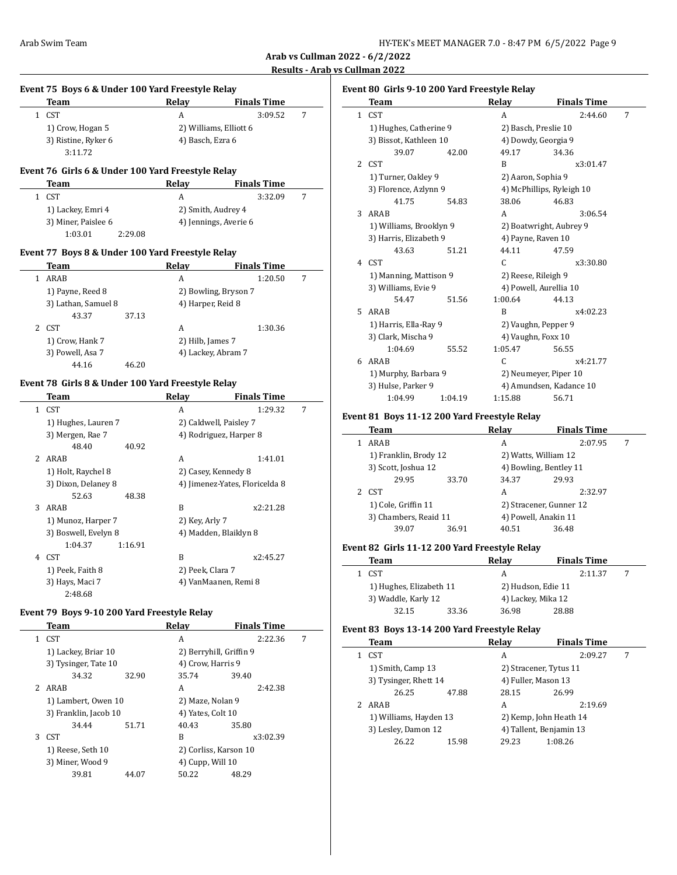| HY-TEK's MEET MANAGER 7.0 - 8:47 PM 6/5/2022 Page 9 |  |  |  |  |
|-----------------------------------------------------|--|--|--|--|
|-----------------------------------------------------|--|--|--|--|

|              | Event 75 Boys 6 & Under 100 Yard Freestyle Relay  |         |                   |                                |   |
|--------------|---------------------------------------------------|---------|-------------------|--------------------------------|---|
|              | Team                                              |         | Relay             | <b>Finals Time</b>             |   |
|              | 1 CST                                             |         | A                 | 3:09.52                        | 7 |
|              | 1) Crow, Hogan 5                                  |         |                   | 2) Williams, Elliott 6         |   |
|              | 3) Ristine, Ryker 6                               |         | 4) Basch, Ezra 6  |                                |   |
|              | 3:11.72                                           |         |                   |                                |   |
|              | Event 76 Girls 6 & Under 100 Yard Freestyle Relay |         |                   |                                |   |
|              | Team                                              |         | Relay             | Finals Time                    |   |
| $\mathbf{1}$ | CST                                               |         | A                 | 3:32.09                        | 7 |
|              | 1) Lackey, Emri 4                                 |         |                   | 2) Smith, Audrey 4             |   |
|              | 3) Miner, Paislee 6                               |         |                   | 4) Jennings, Averie 6          |   |
|              | 1:03.01                                           | 2:29.08 |                   |                                |   |
|              | Event 77 Boys 8 & Under 100 Yard Freestyle Relay  |         |                   |                                |   |
|              | Team                                              |         | Relay             | <b>Finals Time</b>             |   |
|              | 1 ARAB                                            |         | A                 | 1:20.50                        | 7 |
|              | 1) Payne, Reed 8                                  |         |                   | 2) Bowling, Bryson 7           |   |
|              | 3) Lathan, Samuel 8                               |         | 4) Harper, Reid 8 |                                |   |
|              | 43.37                                             | 37.13   |                   |                                |   |
|              | 2 CST                                             |         | A                 | 1:30.36                        |   |
|              | 1) Crow, Hank 7                                   |         | 2) Hilb, James 7  |                                |   |
|              | 3) Powell, Asa 7                                  |         |                   | 4) Lackey, Abram 7             |   |
|              | 44.16                                             | 46.20   |                   |                                |   |
|              |                                                   |         |                   |                                |   |
|              | Event 78 Girls 8 & Under 100 Yard Freestyle Relay |         |                   |                                |   |
|              | Team                                              |         | Relay             | <b>Finals Time</b>             |   |
| $\mathbf{1}$ | CST                                               |         | A                 | 1:29.32                        | 7 |
|              | 1) Hughes, Lauren 7                               |         |                   | 2) Caldwell, Paisley 7         |   |
|              | 3) Mergen, Rae 7                                  |         |                   | 4) Rodriguez, Harper 8         |   |
|              | 48.40                                             | 40.92   |                   |                                |   |
|              | 2 ARAB                                            |         | A                 | 1:41.01                        |   |
|              | 1) Holt, Raychel 8                                |         |                   | 2) Casey, Kennedy 8            |   |
|              | 3) Dixon, Delaney 8                               |         |                   | 4) Jimenez-Yates, Floricelda 8 |   |
|              | 52.63                                             | 48.38   |                   |                                |   |
| 3            | ARAB                                              |         | B                 | x2:21.28                       |   |
|              | 1) Munoz, Harper 7                                |         | 2) Key, Arly 7    |                                |   |
|              | 3) Boswell, Evelyn 8                              |         |                   | 4) Madden, Blaiklyn 8          |   |
|              | 1:04.37                                           | 1:16.91 |                   |                                |   |
|              | 4 CST                                             |         | B                 | x2:45.27                       |   |
|              | 1) Peek, Faith 8                                  |         | 2) Peek, Clara 7  |                                |   |
|              | 3) Hays, Maci 7                                   |         |                   | 4) VanMaanen, Remi 8           |   |
|              | 2:48.68                                           |         |                   |                                |   |
|              | Event 79 Boys 9-10 200 Yard Freestyle Relay       |         |                   |                                |   |
|              | Team                                              |         | Relay             | <b>Finals Time</b>             |   |
|              | 1 CST                                             |         | A                 | 2:22.36                        | 7 |
|              | 1) Lackey, Briar 10                               |         |                   | 2) Berryhill, Griffin 9        |   |
|              | 3) Tysinger, Tate 10                              |         | 4) Crow, Harris 9 |                                |   |
|              | 34.32                                             | 32.90   | 35.74             | 39.40                          |   |
|              | 2 ARAB                                            |         | А                 | 2:42.38                        |   |
|              | 1) Lambert, Owen 10                               |         | 2) Maze, Nolan 9  |                                |   |
|              | 3) Franklin, Jacob 10                             |         | 4) Yates, Colt 10 |                                |   |
|              | 34.44                                             | 51.71   | 40.43             | 35.80                          |   |
|              | 3 CST                                             |         | B                 | x3:02.39                       |   |

1) Reese, Seth 10 2) Corliss, Karson 10 3) Miner, Wood 9 4) Cupp, Will 10<br>39.81 44.07 50.22 48 39.81 44.07 50.22 48.29

# **Event 80 Girls 9-10 200 Yard Freestyle Relay**

|    | <b>Team</b>             |         | Relay               | <b>Finals Time</b>        |   |
|----|-------------------------|---------|---------------------|---------------------------|---|
|    | 1 CST                   |         | A                   | 2:44.60                   | 7 |
|    | 1) Hughes, Catherine 9  |         |                     | 2) Basch, Preslie 10      |   |
|    | 3) Bissot, Kathleen 10  |         |                     | 4) Dowdy, Georgia 9       |   |
|    | 39.07                   | 42.00   | 49.17               | 34.36                     |   |
| 2  | CST                     |         | B                   | x3:01.47                  |   |
|    | 1) Turner, Oakley 9     |         | 2) Aaron, Sophia 9  |                           |   |
|    | 3) Florence, Azlynn 9   |         |                     | 4) McPhillips, Ryleigh 10 |   |
|    | 41.75                   | 54.83   | 38.06               | 46.83                     |   |
|    | 3 ARAB                  |         | A                   | 3:06.54                   |   |
|    | 1) Williams, Brooklyn 9 |         |                     | 2) Boatwright, Aubrey 9   |   |
|    | 3) Harris, Elizabeth 9  |         | 4) Payne, Raven 10  |                           |   |
|    | 43.63                   | 51.21   | 44.11               | 47.59                     |   |
|    | 4 CST                   |         | C                   | x3:30.80                  |   |
|    | 1) Manning, Mattison 9  |         | 2) Reese, Rileigh 9 |                           |   |
|    | 3) Williams, Evie 9     |         |                     | 4) Powell, Aurellia 10    |   |
|    | 54.47                   | 51.56   | 1:00.64             | 44.13                     |   |
| 5. | ARAB                    |         | B                   | x4:02.23                  |   |
|    | 1) Harris, Ella-Ray 9   |         |                     | 2) Vaughn, Pepper 9       |   |
|    | 3) Clark, Mischa 9      |         | 4) Vaughn, Foxx 10  |                           |   |
|    | 1:04.69                 | 55.52   | 1:05.47             | 56.55                     |   |
| 6  | ARAB                    |         | C                   | x4:21.77                  |   |
|    | 1) Murphy, Barbara 9    |         |                     | 2) Neumeyer, Piper 10     |   |
|    | 3) Hulse, Parker 9      |         |                     | 4) Amundsen, Kadance 10   |   |
|    | 1:04.99                 | 1:04.19 | 1:15.88             | 56.71                     |   |

# **Event 81 Boys 11-12 200 Yard Freestyle Relay**

|   | Team                  |       | Relay                | <b>Finals Time</b>      |  |
|---|-----------------------|-------|----------------------|-------------------------|--|
|   | ARAB                  |       | A                    | 2:07.95                 |  |
|   | 1) Franklin, Brody 12 |       | 2) Watts, William 12 |                         |  |
|   | 3) Scott, Joshua 12   |       |                      | 4) Bowling, Bentley 11  |  |
|   | 29.95                 | 33.70 | 34.37                | 29.93                   |  |
| 2 | CST                   |       | A                    | 2:32.97                 |  |
|   | 1) Cole, Griffin 11   |       |                      | 2) Stracener, Gunner 12 |  |
|   | 3) Chambers, Reaid 11 |       | 4) Powell, Anakin 11 |                         |  |
|   | 39.07                 | 36.91 | 40.51                | 36.48                   |  |

# **Event 82 Girls 11-12 200 Yard Freestyle Relay**

| Team                    |       | Relav              | <b>Finals Time</b> |         |  |
|-------------------------|-------|--------------------|--------------------|---------|--|
| 1 CST                   |       | А                  |                    | 2:11.37 |  |
| 1) Hughes, Elizabeth 11 |       | 2) Hudson, Edie 11 |                    |         |  |
| 3) Waddle, Karly 12     |       | 4) Lackey, Mika 12 |                    |         |  |
| 32.15                   | 33.36 | 36.98              | 28.88              |         |  |

# **Event 83 Boys 13-14 200 Yard Freestyle Relay**

 $\overline{\phantom{a}}$ 

| Team                   |       | Relay                  | <b>Finals Time</b>      |   |
|------------------------|-------|------------------------|-------------------------|---|
| <b>CST</b>             |       | А                      | 2:09.27                 | 7 |
| 1) Smith, Camp 13      |       | 2) Stracener, Tytus 11 |                         |   |
| 3) Tysinger, Rhett 14  |       | 4) Fuller, Mason 13    |                         |   |
| 26.25                  | 47.88 | 28.15                  | 26.99                   |   |
| ARAB                   |       | А                      | 2:19.69                 |   |
| 1) Williams, Hayden 13 |       |                        | 2) Kemp, John Heath 14  |   |
| 3) Lesley, Damon 12    |       |                        | 4) Tallent, Benjamin 13 |   |
| 26.22                  | 15.98 | 29.23                  | 1:08.26                 |   |